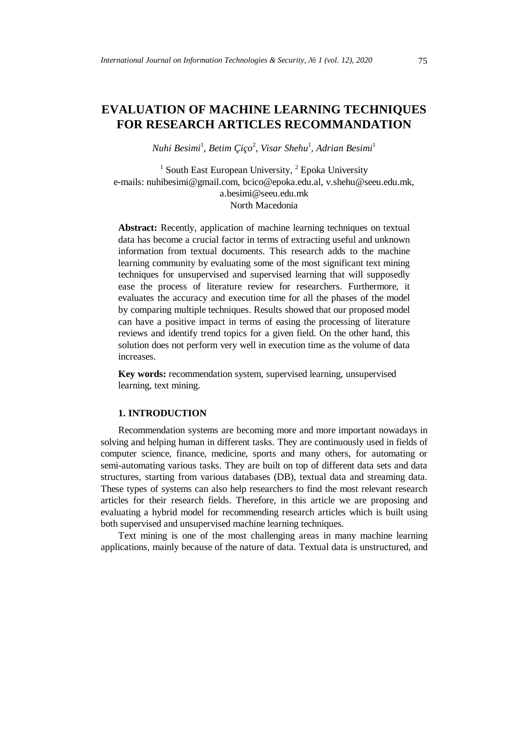# **EVALUATION OF MACHINE LEARNING TECHNIQUES FOR RESEARCH ARTICLES RECOMMANDATION**

*Nuhi Besimi*<sup>1</sup> *, Betim Çiço*<sup>2</sup> *, Visar Shehu*<sup>1</sup> *, Adrian Besimi*<sup>1</sup>

<sup>1</sup> South East European University,  ${}^{2}$  Epoka University e-mails: [nuhibesimi@gmail.com,](mailto:nuhibesimi@gmail.com) [bcico@epoka.edu.al,](mailto:bcico@epoka.edu.al) [v.shehu@seeu.edu.mk,](mailto:v.shehu@seeu.edu.mk) [a.besimi@seeu.edu.mk](mailto:a.besimi@seeu.edu.mk) North Macedonia

**Abstract:** Recently, application of machine learning techniques on textual data has become a crucial factor in terms of extracting useful and unknown information from textual documents. This research adds to the machine learning community by evaluating some of the most significant text mining techniques for unsupervised and supervised learning that will supposedly ease the process of literature review for researchers. Furthermore, it evaluates the accuracy and execution time for all the phases of the model by comparing multiple techniques. Results showed that our proposed model can have a positive impact in terms of easing the processing of literature reviews and identify trend topics for a given field. On the other hand, this solution does not perform very well in execution time as the volume of data increases.

**Key words:** recommendation system, supervised learning, unsupervised learning, text mining.

# **1. INTRODUCTION**

Recommendation systems are becoming more and more important nowadays in solving and helping human in different tasks. They are continuously used in fields of computer science, finance, medicine, sports and many others, for automating or semi-automating various tasks. They are built on top of different data sets and data structures, starting from various databases (DB), textual data and streaming data. These types of systems can also help researchers to find the most relevant research articles for their research fields. Therefore, in this article we are proposing and evaluating a hybrid model for recommending research articles which is built using both supervised and unsupervised machine learning techniques.

Text mining is one of the most challenging areas in many machine learning applications, mainly because of the nature of data. Textual data is unstructured, and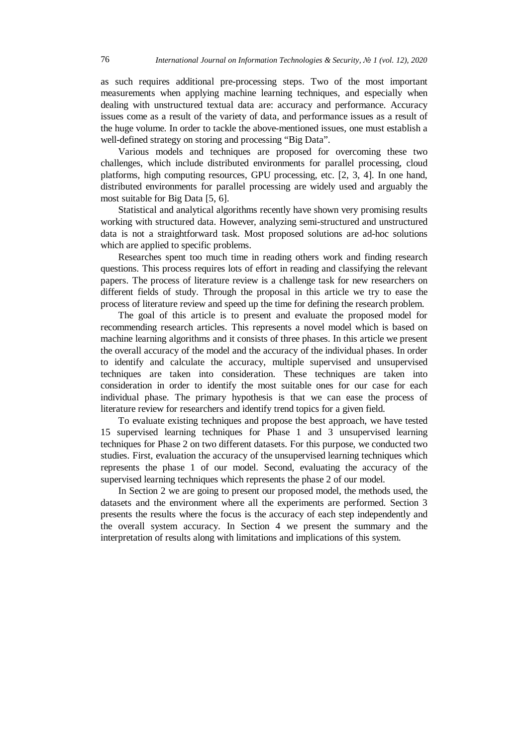as such requires additional pre-processing steps. Two of the most important measurements when applying machine learning techniques, and especially when dealing with unstructured textual data are: accuracy and performance. Accuracy issues come as a result of the variety of data, and performance issues as a result of the huge volume. In order to tackle the above-mentioned issues, one must establish a well-defined strategy on storing and processing "Big Data".

Various models and techniques are proposed for overcoming these two challenges, which include distributed environments for parallel processing, cloud platforms, high computing resources, GPU processing, etc. [2, 3, 4]. In one hand, distributed environments for parallel processing are widely used and arguably the most suitable for Big Data [5, 6].

Statistical and analytical algorithms recently have shown very promising results working with structured data. However, analyzing semi-structured and unstructured data is not a straightforward task. Most proposed solutions are ad-hoc solutions which are applied to specific problems.

Researches spent too much time in reading others work and finding research questions. This process requires lots of effort in reading and classifying the relevant papers. The process of literature review is a challenge task for new researchers on different fields of study. Through the proposal in this article we try to ease the process of literature review and speed up the time for defining the research problem.

The goal of this article is to present and evaluate the proposed model for recommending research articles. This represents a novel model which is based on machine learning algorithms and it consists of three phases. In this article we present the overall accuracy of the model and the accuracy of the individual phases. In order to identify and calculate the accuracy, multiple supervised and unsupervised techniques are taken into consideration. These techniques are taken into consideration in order to identify the most suitable ones for our case for each individual phase. The primary hypothesis is that we can ease the process of literature review for researchers and identify trend topics for a given field.

To evaluate existing techniques and propose the best approach, we have tested 15 supervised learning techniques for Phase 1 and 3 unsupervised learning techniques for Phase 2 on two different datasets. For this purpose, we conducted two studies. First, evaluation the accuracy of the unsupervised learning techniques which represents the phase 1 of our model. Second, evaluating the accuracy of the supervised learning techniques which represents the phase 2 of our model.

In Section 2 we are going to present our proposed model, the methods used, the datasets and the environment where all the experiments are performed. Section 3 presents the results where the focus is the accuracy of each step independently and the overall system accuracy. In Section 4 we present the summary and the interpretation of results along with limitations and implications of this system.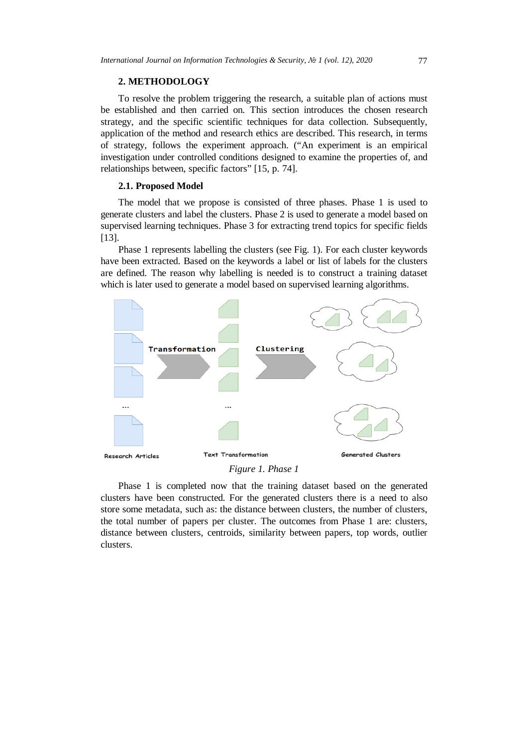# **2. METHODOLOGY**

To resolve the problem triggering the research, a suitable plan of actions must be established and then carried on. This section introduces the chosen research strategy, and the specific scientific techniques for data collection. Subsequently, application of the method and research ethics are described. This research, in terms of strategy, follows the experiment approach. ("An experiment is an empirical investigation under controlled conditions designed to examine the properties of, and relationships between, specific factors" [15, p. 74].

## **2.1. Proposed Model**

The model that we propose is consisted of three phases. Phase 1 is used to generate clusters and label the clusters. Phase 2 is used to generate a model based on supervised learning techniques. Phase 3 for extracting trend topics for specific fields [13].

Phase 1 represents labelling the clusters (see Fig. 1). For each cluster keywords have been extracted. Based on the keywords a label or list of labels for the clusters are defined. The reason why labelling is needed is to construct a training dataset which is later used to generate a model based on supervised learning algorithms.



*Figure 1. Phase 1*

Phase 1 is completed now that the training dataset based on the generated clusters have been constructed. For the generated clusters there is a need to also store some metadata, such as: the distance between clusters, the number of clusters, the total number of papers per cluster. The outcomes from Phase 1 are: clusters, distance between clusters, centroids, similarity between papers, top words, outlier clusters.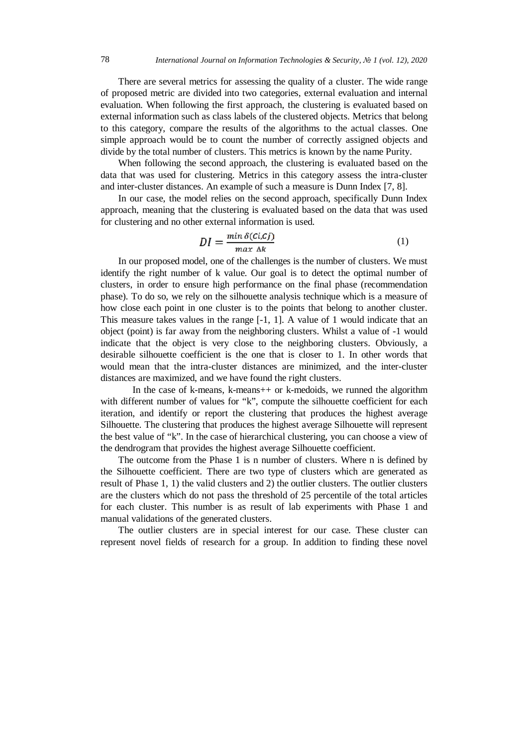There are several metrics for assessing the quality of a cluster. The wide range of proposed metric are divided into two categories, external evaluation and internal evaluation. When following the first approach, the clustering is evaluated based on external information such as class labels of the clustered objects. Metrics that belong to this category, compare the results of the algorithms to the actual classes. One simple approach would be to count the number of correctly assigned objects and divide by the total number of clusters. This metrics is known by the name Purity.

When following the second approach, the clustering is evaluated based on the data that was used for clustering. Metrics in this category assess the intra-cluster and inter-cluster distances. An example of such a measure is Dunn Index [7, 8].

In our case, the model relies on the second approach, specifically Dunn Index approach, meaning that the clustering is evaluated based on the data that was used for clustering and no other external information is used.

$$
DI = \frac{\min \delta(c_i, c_j)}{\max \Delta k} \tag{1}
$$

In our proposed model, one of the challenges is the number of clusters. We must identify the right number of k value. Our goal is to detect the optimal number of clusters, in order to ensure high performance on the final phase (recommendation phase). To do so, we rely on the silhouette analysis technique which is a measure of how close each point in one cluster is to the points that belong to another cluster. This measure takes values in the range [-1, 1]. A value of 1 would indicate that an object (point) is far away from the neighboring clusters. Whilst a value of -1 would indicate that the object is very close to the neighboring clusters. Obviously, a desirable silhouette coefficient is the one that is closer to 1. In other words that would mean that the intra-cluster distances are minimized, and the inter-cluster distances are maximized, and we have found the right clusters.

In the case of k-means, k-means++ or k-medoids, we runned the algorithm with different number of values for "k", compute the silhouette coefficient for each iteration, and identify or report the clustering that produces the highest average Silhouette. The clustering that produces the highest average Silhouette will represent the best value of "k". In the case of hierarchical clustering, you can choose a view of the dendrogram that provides the highest average Silhouette coefficient.

The outcome from the Phase 1 is n number of clusters. Where n is defined by the Silhouette coefficient. There are two type of clusters which are generated as result of Phase 1, 1) the valid clusters and 2) the outlier clusters. The outlier clusters are the clusters which do not pass the threshold of 25 percentile of the total articles for each cluster. This number is as result of lab experiments with Phase 1 and manual validations of the generated clusters.

The outlier clusters are in special interest for our case. These cluster can represent novel fields of research for a group. In addition to finding these novel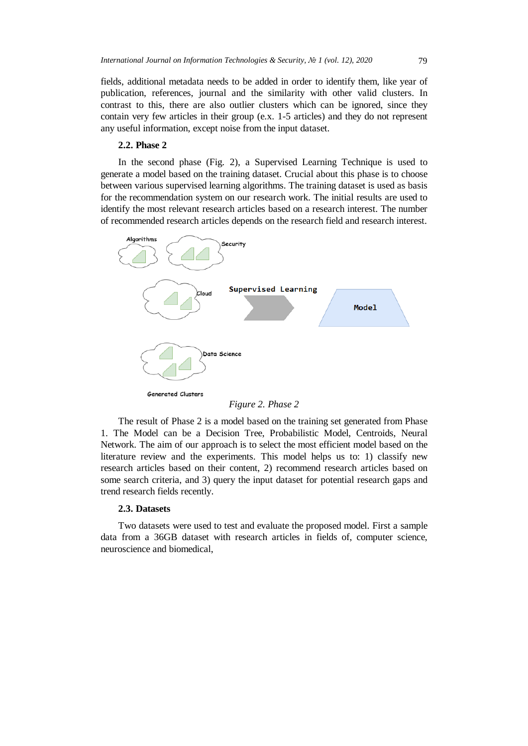fields, additional metadata needs to be added in order to identify them, like year of publication, references, journal and the similarity with other valid clusters. In contrast to this, there are also outlier clusters which can be ignored, since they contain very few articles in their group (e.x. 1-5 articles) and they do not represent any useful information, except noise from the input dataset.

#### **2.2. Phase 2**

In the second phase (Fig. 2), a Supervised Learning Technique is used to generate a model based on the training dataset. Crucial about this phase is to choose between various supervised learning algorithms. The training dataset is used as basis for the recommendation system on our research work. The initial results are used to identify the most relevant research articles based on a research interest. The number of recommended research articles depends on the research field and research interest.



*Figure 2. Phase 2*

The result of Phase 2 is a model based on the training set generated from Phase 1. The Model can be a Decision Tree, Probabilistic Model, Centroids, Neural Network. The aim of our approach is to select the most efficient model based on the literature review and the experiments. This model helps us to: 1) classify new research articles based on their content, 2) recommend research articles based on some search criteria, and 3) query the input dataset for potential research gaps and trend research fields recently.

#### **2.3. Datasets**

Two datasets were used to test and evaluate the proposed model. First a sample data from a 36GB dataset with research articles in fields of, computer science, neuroscience and biomedical,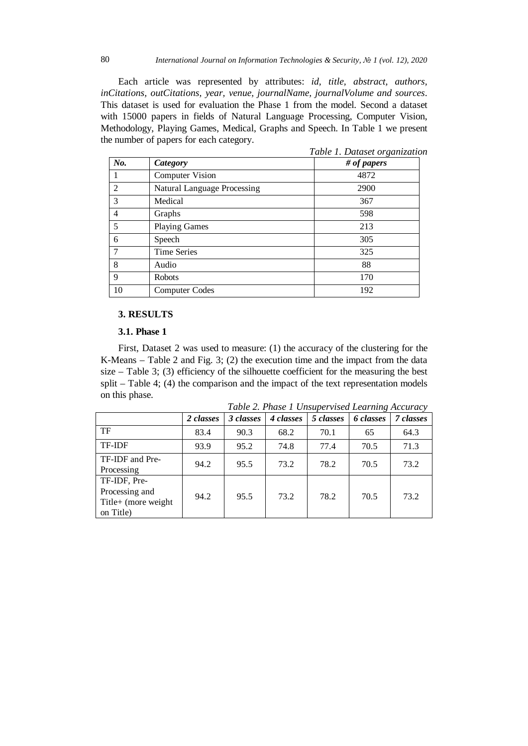Each article was represented by attributes: *id, title, abstract, authors, inCitations, outCitations, year, venue, journalName, journalVolume and sources*. This dataset is used for evaluation the Phase 1 from the model. Second a dataset with 15000 papers in fields of Natural Language Processing, Computer Vision, Methodology, Playing Games, Medical, Graphs and Speech. In Table 1 we present the number of papers for each category.

|                |                                    | Table 1. Dataset organization |  |  |  |  |
|----------------|------------------------------------|-------------------------------|--|--|--|--|
| No.            | Category                           | # of papers                   |  |  |  |  |
|                | <b>Computer Vision</b>             | 4872                          |  |  |  |  |
| $\mathfrak{D}$ | <b>Natural Language Processing</b> | 2900                          |  |  |  |  |
| 3              | Medical                            | 367                           |  |  |  |  |
| $\overline{4}$ | Graphs                             | 598                           |  |  |  |  |
| 5              | <b>Playing Games</b>               | 213                           |  |  |  |  |
| 6              | Speech                             | 305                           |  |  |  |  |
| 7              | <b>Time Series</b>                 | 325                           |  |  |  |  |
| 8              | Audio                              | 88                            |  |  |  |  |
| 9              | <b>Robots</b>                      | 170                           |  |  |  |  |
| 10             | <b>Computer Codes</b>              | 192                           |  |  |  |  |

# **3. RESULTS**

#### **3.1. Phase 1**

First, Dataset 2 was used to measure: (1) the accuracy of the clustering for the K-Means – Table 2 and Fig. 3; (2) the execution time and the impact from the data size – Table 3; (3) efficiency of the silhouette coefficient for the measuring the best split – Table 4; (4) the comparison and the impact of the text representation models on this phase.

*Table 2. Phase 1 Unsupervised Learning Accuracy*

|                                                                     | 2 classes | 3 classes | 4 classes | 5 classes | 6 classes | 7 classes |
|---------------------------------------------------------------------|-----------|-----------|-----------|-----------|-----------|-----------|
| TF                                                                  | 83.4      | 90.3      | 68.2      | 70.1      | 65        | 64.3      |
| <b>TF-IDF</b>                                                       | 93.9      | 95.2      | 74.8      | 77.4      | 70.5      | 71.3      |
| TF-IDF and Pre-<br>Processing                                       | 94.2      | 95.5      | 73.2      | 78.2      | 70.5      | 73.2      |
| TF-IDF, Pre-<br>Processing and<br>Title+ (more weight)<br>on Title) | 94.2      | 95.5      | 73.2      | 78.2      | 70.5      | 73.2      |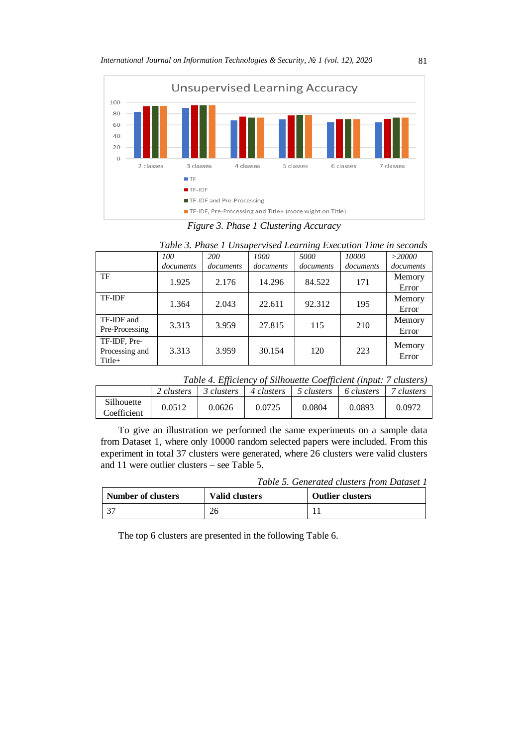

*Figure 3. Phase 1 Clustering Accuracy*

|                                          | Table 3. Phase 1 Unsupervised Learning Execution Time in seconds |           |           |           |           |                 |  |  |
|------------------------------------------|------------------------------------------------------------------|-----------|-----------|-----------|-----------|-----------------|--|--|
|                                          | 100                                                              | 200       | 1000      | 5000      | 10000     | $>$ 20000       |  |  |
|                                          | documents                                                        | documents | documents | documents | documents | documents       |  |  |
| TF                                       | 1.925                                                            | 2.176     | 14.296    | 84.522    | 171       | Memory<br>Error |  |  |
| <b>TF-IDF</b>                            | 1.364                                                            | 2.043     | 22.611    | 92.312    | 195       | Memory<br>Error |  |  |
| TF-IDF and<br>Pre-Processing             | 3.313                                                            | 3.959     | 27.815    | 115       | 210       | Memory<br>Error |  |  |
| TF-IDF, Pre-<br>Processing and<br>Title+ | 3.313                                                            | 3.959     | 30.154    | 120       | 223       | Memory<br>Error |  |  |

*Table 4. Efficiency of Silhouette Coefficient (input: 7 clusters)*

|                           | 2 clusters | 3 clusters | 4 clusters | 5 clusters | 6 clusters | clusters |
|---------------------------|------------|------------|------------|------------|------------|----------|
| Silhouette<br>Coefficient | 0.0512     | 0.0626     | 0.0725     | 0.0804     | 0.0893     | 0.0972   |

To give an illustration we performed the same experiments on a sample data from Dataset 1, where only 10000 random selected papers were included. From this experiment in total 37 clusters were generated, where 26 clusters were valid clusters and 11 were outlier clusters – see Table 5.

|  | Table 5. Generated clusters from Dataset 1 |  |  |  |  |
|--|--------------------------------------------|--|--|--|--|
|--|--------------------------------------------|--|--|--|--|

| <b>Number of clusters</b> | <b>Valid clusters</b> | <b>Outlier clusters</b> |  |
|---------------------------|-----------------------|-------------------------|--|
|                           |                       |                         |  |

The top 6 clusters are presented in the following Table 6.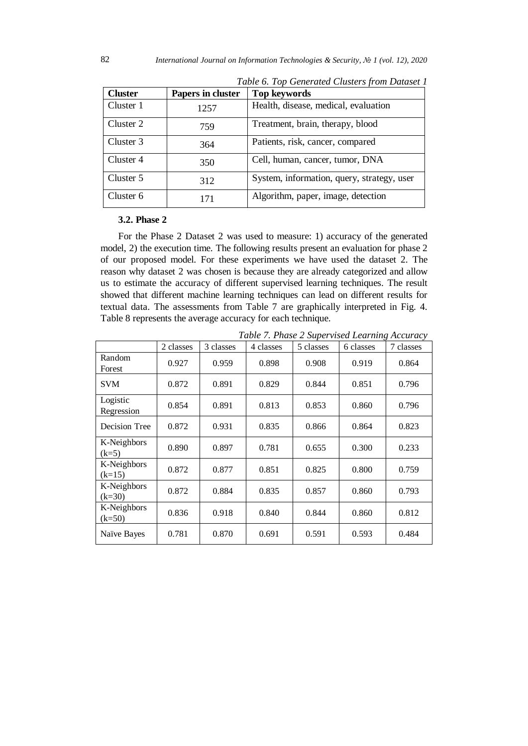| <b>Cluster</b> | Papers in cluster | <b>Top keywords</b>                        |
|----------------|-------------------|--------------------------------------------|
| Cluster 1      | 1257              | Health, disease, medical, evaluation       |
| Cluster 2      | 759               | Treatment, brain, therapy, blood           |
| Cluster 3      | 364               | Patients, risk, cancer, compared           |
| Cluster 4      | 350               | Cell, human, cancer, tumor, DNA            |
| Cluster 5      | 312               | System, information, query, strategy, user |
| Cluster 6      | 171               | Algorithm, paper, image, detection         |

*Table 6. Top Generated Clusters from Dataset 1*

## **3.2. Phase 2**

For the Phase 2 Dataset 2 was used to measure: 1) accuracy of the generated model, 2) the execution time. The following results present an evaluation for phase 2 of our proposed model. For these experiments we have used the dataset 2. The reason why dataset 2 was chosen is because they are already categorized and allow us to estimate the accuracy of different supervised learning techniques. The result showed that different machine learning techniques can lead on different results for textual data. The assessments from Table 7 are graphically interpreted in Fig. 4. Table 8 represents the average accuracy for each technique.

|                         | 2 classes | 3 classes | 4 classes | 5 classes | o<br>6 classes | 7 classes |
|-------------------------|-----------|-----------|-----------|-----------|----------------|-----------|
|                         |           |           |           |           |                |           |
| Random<br>Forest        | 0.927     | 0.959     | 0.898     | 0.908     | 0.919          | 0.864     |
| <b>SVM</b>              | 0.872     | 0.891     | 0.829     | 0.844     | 0.851          | 0.796     |
| Logistic<br>Regression  | 0.854     | 0.891     | 0.813     | 0.853     | 0.860          | 0.796     |
| Decision Tree           | 0.872     | 0.931     | 0.835     | 0.866     | 0.864          | 0.823     |
| K-Neighbors<br>$(k=5)$  | 0.890     | 0.897     | 0.781     | 0.655     | 0.300          | 0.233     |
| K-Neighbors<br>$(k=15)$ | 0.872     | 0.877     | 0.851     | 0.825     | 0.800          | 0.759     |
| K-Neighbors<br>$(k=30)$ | 0.872     | 0.884     | 0.835     | 0.857     | 0.860          | 0.793     |
| K-Neighbors<br>$(k=50)$ | 0.836     | 0.918     | 0.840     | 0.844     | 0.860          | 0.812     |
| Naïve Bayes             | 0.781     | 0.870     | 0.691     | 0.591     | 0.593          | 0.484     |

*Table 7. Phase 2 Supervised Learning Accuracy*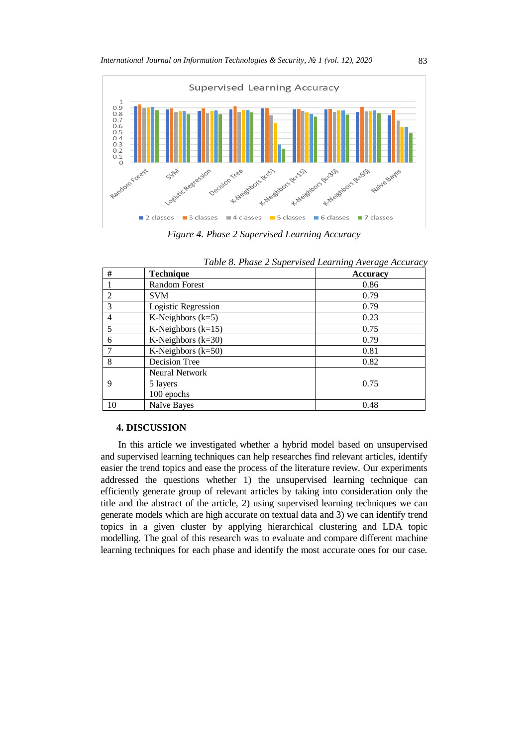

*Figure 4. Phase 2 Supervised Learning Accuracy*

| #  | Technique            | <b>Accuracy</b> |
|----|----------------------|-----------------|
|    | Random Forest        | 0.86            |
| 2  | <b>SVM</b>           | 0.79            |
| 3  | Logistic Regression  | 0.79            |
| 4  | K-Neighbors $(k=5)$  | 0.23            |
| 5  | K-Neighbors $(k=15)$ | 0.75            |
| 6  | K-Neighbors $(k=30)$ | 0.79            |
|    | K-Neighbors $(k=50)$ | 0.81            |
| 8  | Decision Tree        | 0.82            |
|    | Neural Network       |                 |
| 9  | 5 layers             | 0.75            |
|    | 100 epochs           |                 |
| 10 | Naïve Bayes          | 0.48            |

|  |  |  |  |  | Table 8. Phase 2 Supervised Learning Average Accuracy |  |  |  |
|--|--|--|--|--|-------------------------------------------------------|--|--|--|
|--|--|--|--|--|-------------------------------------------------------|--|--|--|

## **4. DISCUSSION**

In this article we investigated whether a hybrid model based on unsupervised and supervised learning techniques can help researches find relevant articles, identify easier the trend topics and ease the process of the literature review. Our experiments addressed the questions whether 1) the unsupervised learning technique can efficiently generate group of relevant articles by taking into consideration only the title and the abstract of the article, 2) using supervised learning techniques we can generate models which are high accurate on textual data and 3) we can identify trend topics in a given cluster by applying hierarchical clustering and LDA topic modelling. The goal of this research was to evaluate and compare different machine learning techniques for each phase and identify the most accurate ones for our case.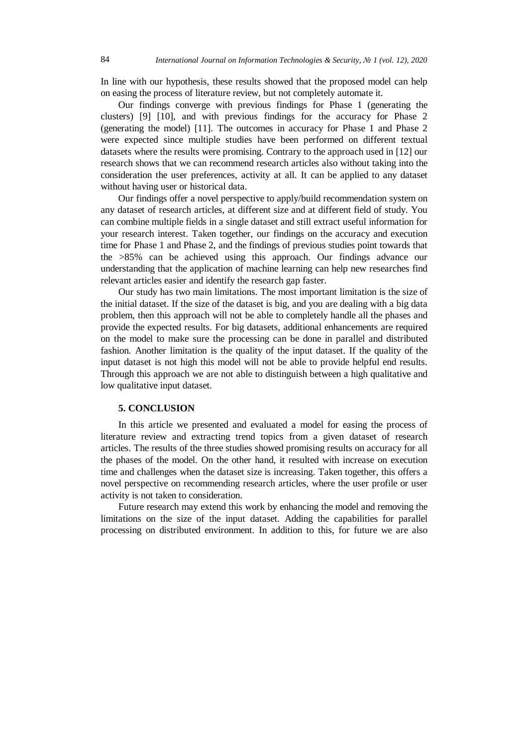In line with our hypothesis, these results showed that the proposed model can help on easing the process of literature review, but not completely automate it.

Our findings converge with previous findings for Phase 1 (generating the clusters) [9] [10], and with previous findings for the accuracy for Phase 2 (generating the model) [11]. The outcomes in accuracy for Phase 1 and Phase 2 were expected since multiple studies have been performed on different textual datasets where the results were promising. Contrary to the approach used in [12] our research shows that we can recommend research articles also without taking into the consideration the user preferences, activity at all. It can be applied to any dataset without having user or historical data.

Our findings offer a novel perspective to apply/build recommendation system on any dataset of research articles, at different size and at different field of study. You can combine multiple fields in a single dataset and still extract useful information for your research interest. Taken together, our findings on the accuracy and execution time for Phase 1 and Phase 2, and the findings of previous studies point towards that the >85% can be achieved using this approach. Our findings advance our understanding that the application of machine learning can help new researches find relevant articles easier and identify the research gap faster.

Our study has two main limitations. The most important limitation is the size of the initial dataset. If the size of the dataset is big, and you are dealing with a big data problem, then this approach will not be able to completely handle all the phases and provide the expected results. For big datasets, additional enhancements are required on the model to make sure the processing can be done in parallel and distributed fashion. Another limitation is the quality of the input dataset. If the quality of the input dataset is not high this model will not be able to provide helpful end results. Through this approach we are not able to distinguish between a high qualitative and low qualitative input dataset.

#### **5. CONCLUSION**

In this article we presented and evaluated a model for easing the process of literature review and extracting trend topics from a given dataset of research articles. The results of the three studies showed promising results on accuracy for all the phases of the model. On the other hand, it resulted with increase on execution time and challenges when the dataset size is increasing. Taken together, this offers a novel perspective on recommending research articles, where the user profile or user activity is not taken to consideration.

Future research may extend this work by enhancing the model and removing the limitations on the size of the input dataset. Adding the capabilities for parallel processing on distributed environment. In addition to this, for future we are also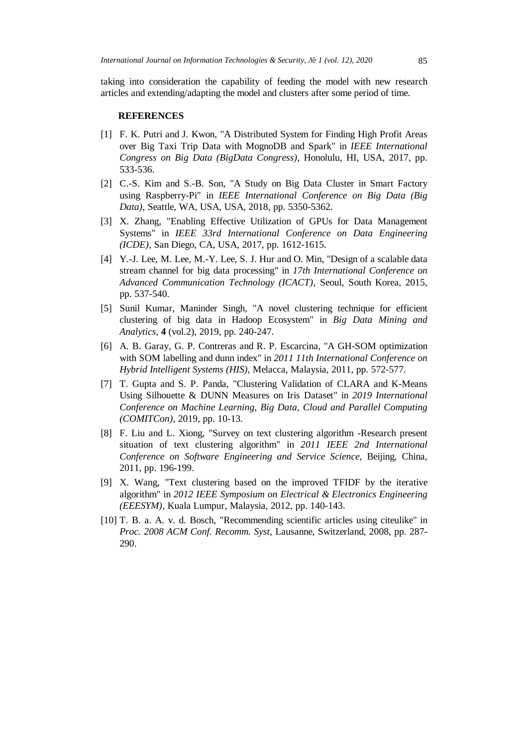taking into consideration the capability of feeding the model with new research articles and extending/adapting the model and clusters after some period of time.

## **REFERENCES**

- [1] F. K. Putri and J. Kwon, "A Distributed System for Finding High Profit Areas over Big Taxi Trip Data with MognoDB and Spark" in *IEEE International Congress on Big Data (BigData Congress)*, Honolulu, HI, USA, 2017, pp. 533-536.
- [2] C.-S. Kim and S.-B. Son, "A Study on Big Data Cluster in Smart Factory using Raspberry-Pi" in *IEEE International Conference on Big Data (Big Data)*, Seattle, WA, USA, USA, 2018, pp. 5350-5362.
- [3] X. Zhang, "Enabling Effective Utilization of GPUs for Data Management Systems" in *IEEE 33rd International Conference on Data Engineering (ICDE)*, San Diego, CA, USA, 2017, pp. 1612-1615.
- [4] Y.-J. Lee, M. Lee, M.-Y. Lee, S. J. Hur and O. Min, "Design of a scalable data stream channel for big data processing" in *17th International Conference on Advanced Communication Technology (ICACT)*, Seoul, South Korea, 2015, pp. 537-540.
- [5] Sunil Kumar, Maninder Singh, "A novel clustering technique for efficient clustering of big data in Hadoop Ecosystem" in *Big Data Mining and Analytics,* **4** (vol.2), 2019, pp. 240-247.
- [6] A. B. Garay, G. P. Contreras and R. P. Escarcina, "A GH-SOM optimization with SOM labelling and dunn index" in *2011 11th International Conference on Hybrid Intelligent Systems (HIS)*, Melacca, Malaysia, 2011, pp. 572-577.
- [7] T. Gupta and S. P. Panda, "Clustering Validation of CLARA and K-Means Using Silhouette & DUNN Measures on Iris Dataset" in *2019 International Conference on Machine Learning, Big Data, Cloud and Parallel Computing (COMITCon)*, 2019, pp. 10-13.
- [8] F. Liu and L. Xiong, "Survey on text clustering algorithm -Research present situation of text clustering algorithm" in *2011 IEEE 2nd International Conference on Software Engineering and Service Science*, Beijing, China, 2011, pp. 196-199.
- [9] X. Wang, "Text clustering based on the improved TFIDF by the iterative algorithm" in *2012 IEEE Symposium on Electrical & Electronics Engineering (EEESYM)*, Kuala Lumpur, Malaysia, 2012, pp. 140-143.
- [10] T. B. a. A. v. d. Bosch, "Recommending scientific articles using citeulike" in *Proc. 2008 ACM Conf. Recomm. Syst*, Lausanne, Switzerland, 2008, pp. 287- 290.